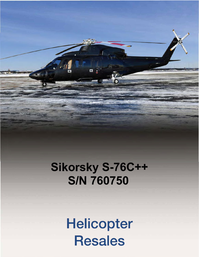

# Sikorsky S-76C++ **S/N 760750**

Helicopter **Resales**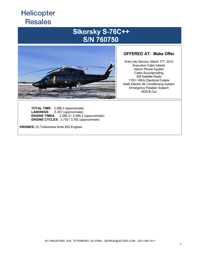### Sikorsky S-76C++ **S/N 760750**



#### **OFFERED AT: Make Offer**

Entry into Service: March 17th, 2010 **Executive Cabin Interior** Iridium Phone System **Cabin Soundproofing XM Satellite Radio** 115V / 60Hz Electrical Outlets Keith Electric Air Conditioning System **Emergency Flotation System** ADS-B Out

**TOTAL TIME:** 2,586.2 (approximate) **LANDINGS:** 5,357 (approximate) **ENGINE TIMES:** 2,586.2 / 2,586.2 (approximate) **ENGINE CYCLES:** 3,755 / 3,782 (approximate)

**ENGINES:** (2) Turbomeca Arriel 2S2 Engines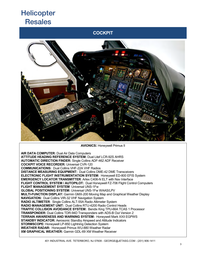### **COCKPIT**



**AVIONICS:** Honeywell Primus II

**AIR DATA COMPUTER:** Dual Air Data Computers **ATTITUDE HEADING REFERENCE SYSTEM:** Dual Litef LCR-92S AHRS **AUTOMATIC DIRECTION FINDER:** Single Collins ADF-462 ADF Receiver **COCKPIT VOICE RECORDER:** Universal CVR-120 **COMMUNICATIONS:** Dual Collins VHF-22A VHF Radios **DISTANCE MEASURING EQUIPMENT:** Dual Collins DME-42 DME Transceivers **ELECTRONIC FLIGHT INSTRUMENTATION SYSTEM:** Honeywell ED-800 EFIS System **EMERGENCY LOCATOR TRANSMITTER**: Artex C406-N ELT with Nav Interface **FLIGHT CONTROL SYSTEM / AUTOPILOT:** Dual Honeywell FZ-706 Flight Control Computers **FLIGHT MANAGEMENT SYSTEM**: Universal UNS-1Fw **GLOBAL POSITIONING SYSTEM:** Universal UNS-1Fw WAAS/LPV **MULTI-FUNCTION DISPLAY:** Garmin GMX-200 Moving Map and Graphical Weather Display **NAVIGATION:** Dual Collins VIR-32 VHF Navigation System **RADIO ALTIMETER**: Single Collins ALT-55A Radio Altimeter System **RADIO MANAGEMENT UNIT:** Dual Collins RTU-4200 Radio Control Heads **TRAFFIC COLLISION AVOIDANCE SYSTEM:** Bendix King TPU-66A TCAS 1 Processor **TRANSPONDER:** Dual Collins TDR-94D Transponders with ADS-B Out Version 2 **TERRAIN AWARENESS AND WARNING SYSTEM:** Honeywell Mark XXII EGPWS **STANDBY INDICATOR:** Aerosonic Standby Airspeed and Altitude Indicators **STORMSCOPE:** Honeywell LP-850 Lightning Detection System **WEATHER RADAR:** Honeywell Primus WU-880 Weather Radar **XM GRAPHICAL WEATHER:** Garmin GDL-69 XM Weather Receiver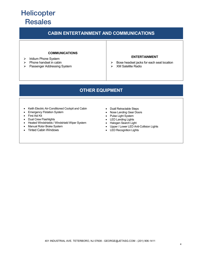### **CABIN ENTERTAINMENT AND COMMUNICATIONS**

#### **COMMUNICATIONS**

- ¾ Iridium Phone System
- $\triangleright$  Phone handset in cabin
- ¾ Passenger Addressing System

#### **ENTERTAINMENT**

- ¾ Bose headset jacks for each seat location  $\triangleright$  XM Satellite Radio
- 

#### **OTHER EQUIPMENT**

- Keith Electric Air-Conditioned Cockpit and Cabin
- Emergency Flotation System
- First Aid Kit
- Dual Crew Flashlights
- Heated Windshields / Windshield Wiper System
- Manual Rotor Brake System
- Tinted Cabin Windows
- Dual Retractable Steps
- Nose Landing Gear Doors
- Pulse Light System
- LED Landing Lights
- Halogen Search Light
- Upper / Lower LED Anti-Collision Lights
- LED Recognition Lights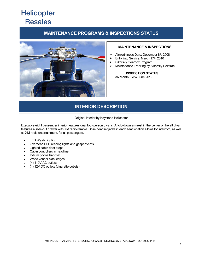### **MAINTENANCE PROGRAMS & INSPECTIONS STATUS**



#### **MAINTENANCE & INSPECTIONS**

- $\triangleright$  Airworthiness Date: December 8<sup>th</sup>, 2008
- $\triangleright$  Entry into Service: March 17<sup>th</sup>, 2010
- ¾ Sikorsky Gearbox Program
- ¾ Maintenance Tracking by Sikorsky Helotrac

#### **INSPECTION STATUS**  $36$  Month  $c/w$  June 2019

### **INTERIOR DESCRIPTION**

Original Interior by Keystone Helicopter

Executive eight passenger interior features dual four-person divans. A fold-down armrest in the center of the aft divan features a slide-out drawer with XM radio remote. Bose headset jacks in each seat location allows for intercom, as well as XM radio entertainment, for all passengers.

- LED Wash Lighting
- Overhead LED reading lights and gasper vents
- Lighted cabin door steps
- Cabin controllers in headliner
- Iridium phone handset
- Wood veneer side ledges
- $(4)$  110V AC outlets
- x (4) 12V DC outlets (cigarette outlets)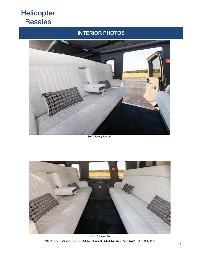### **INTERIOR PHOTOS**



Seats Facing Forward



8 Seat Configuration 401 INDUSTRIAL AVE. TETERBORO, NJ 07608 - GEORGE@JETASG.COM - (201) 906-1411